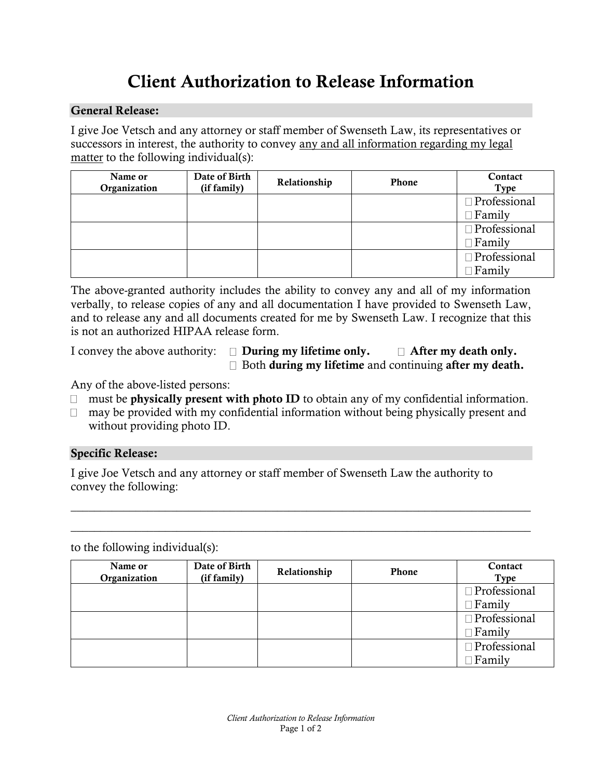# Client Authorization to Release Information

## General Release:

I give Joe Vetsch and any attorney or staff member of Swenseth Law, its representatives or successors in interest, the authority to convey any and all information regarding my legal matter to the following individual(s):

| Name or<br>Organization | Date of Birth<br>(if family) | Relationship | <b>Phone</b> | Contact<br>Type |
|-------------------------|------------------------------|--------------|--------------|-----------------|
|                         |                              |              |              | □ Professional  |
|                         |                              |              |              | $\Box$ Family   |
|                         |                              |              |              | □ Professional  |
|                         |                              |              |              | $\Box$ Family   |
|                         |                              |              |              | □ Professional  |
|                         |                              |              |              | Family          |

The above-granted authority includes the ability to convey any and all of my information verbally, to release copies of any and all documentation I have provided to Swenseth Law, and to release any and all documents created for me by Swenseth Law. I recognize that this is not an authorized HIPAA release form.

I convey the above authority:  $\square$  During my lifetime only.  $\square$  After my death only.  $\Box$  Both during my lifetime and continuing after my death.

Any of the above-listed persons:

- $\Box$  must be physically present with photo ID to obtain any of my confidential information.
- $\Box$  may be provided with my confidential information without being physically present and without providing photo ID.

 $\_$  , and the set of the set of the set of the set of the set of the set of the set of the set of the set of the set of the set of the set of the set of the set of the set of the set of the set of the set of the set of th

\_\_\_\_\_\_\_\_\_\_\_\_\_\_\_\_\_\_\_\_\_\_\_\_\_\_\_\_\_\_\_\_\_\_\_\_\_\_\_\_\_\_\_\_\_\_\_\_\_\_\_\_\_\_\_\_\_\_\_\_\_\_\_\_\_\_\_\_\_\_\_\_\_\_\_\_\_\_

## Specific Release:

I give Joe Vetsch and any attorney or staff member of Swenseth Law the authority to convey the following:

to the following individual(s):

| Name or<br>Organization | Date of Birth<br>(if family) | Relationship | <b>Phone</b> | Contact<br><b>Type</b> |
|-------------------------|------------------------------|--------------|--------------|------------------------|
|                         |                              |              |              | Professional           |
|                         |                              |              |              | Family                 |
|                         |                              |              |              | Professional           |
|                         |                              |              |              | Family                 |
|                         |                              |              |              | Professional           |
|                         |                              |              |              | Family                 |